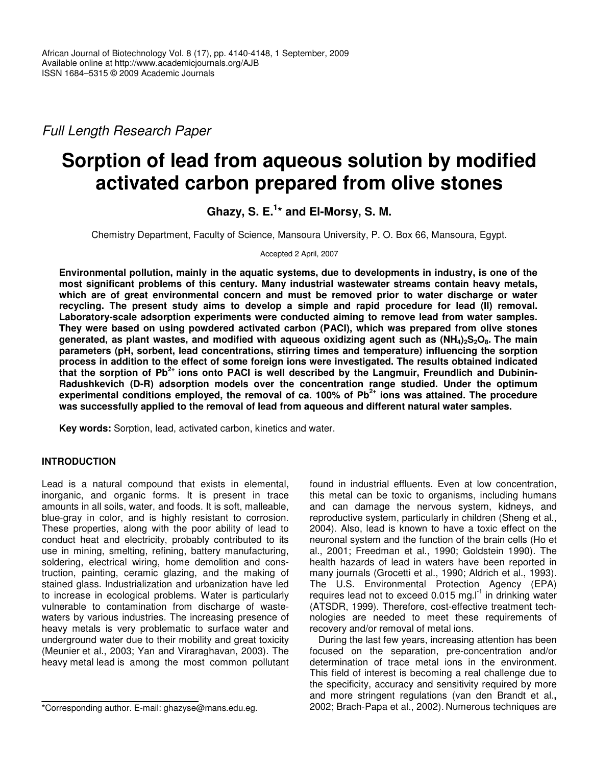*Full Length Research Paper*

# **Sorption of lead from aqueous solution by modified activated carbon prepared from olive stones**

**Ghazy, S. E. 1 \* and El-Morsy, S. M.**

Chemistry Department, Faculty of Science, Mansoura University, P. O. Box 66, Mansoura, Egypt.

Accepted 2 April, 2007

**Environmental pollution, mainly in the aquatic systems, due to developments in industry, is one of the most significant problems of this century. Many industrial wastewater streams contain heavy metals, which are of great environmental concern and must be removed prior to water discharge or water recycling. The present study aims to develop a simple and rapid procedure for lead (II) removal. Laboratory-scale adsorption experiments were conducted aiming to remove lead from water samples. They were based on using powdered activated carbon (PACI), which was prepared from olive stones** generated, as plant wastes, and modified with aqueous oxidizing agent such as  $(NH_4)_2S_2O_8$ . The main **parameters (pH, sorbent, lead concentrations, stirring times and temperature) influencing the sorption process in addition to the effect of some foreign ions were investigated. The results obtained indicated** that the sorption of Pb<sup>2+</sup> ions onto PACI is well described by the Langmuir, Freundlich and Dubinin-**Radushkevich (D-R) adsorption models over the concentration range studied. Under the optimum experimental conditions employed, the removal of ca. 100% of Pb 2+ ions was attained. The procedure was successfully applied to the removal of lead from aqueous and different natural water samples.**

**Key words:** Sorption, lead, activated carbon, kinetics and water.

# **INTRODUCTION**

Lead is a natural compound that exists in elemental, inorganic, and organic forms. It is present in trace amounts in all soils, water, and foods. It is soft, malleable, blue-gray in color, and is highly resistant to corrosion. These properties, along with the poor ability of lead to conduct heat and electricity, probably contributed to its use in mining, smelting, refining, battery manufacturing, soldering, electrical wiring, home demolition and construction, painting, ceramic glazing, and the making of stained glass. Industrialization and urbanization have led to increase in ecological problems. Water is particularly vulnerable to contamination from discharge of wastewaters by various industries. The increasing presence of heavy metals is very problematic to surface water and underground water due to their mobility and great toxicity (Meunier et al., 2003; Yan and Viraraghavan, 2003). The heavy metal lead is among the most common pollutant

\*Corresponding author. E-mail: ghazyse@mans.edu.eg.

found in industrial effluents. Even at low concentration, this metal can be toxic to organisms, including humans and can damage the nervous system, kidneys, and reproductive system, particularly in children (Sheng et al., 2004). Also, lead is known to have a toxic effect on the neuronal system and the function of the brain cells (Ho et al., 2001; Freedman et al., 1990; Goldstein 1990). The health hazards of lead in waters have been reported in many journals (Grocetti et al., 1990; Aldrich et al., 1993). The U.S. Environmental Protection Agency (EPA) requires lead not to exceed 0.015 mg.I<sup>-1</sup> in drinking water (ATSDR, 1999). Therefore, cost-effective treatment technologies are needed to meet these requirements of recovery and/or removal of metal ions.

During the last few years, increasing attention has been focused on the separation, pre-concentration and/or determination of trace metal ions in the environment. This field of interest is becoming a real challenge due to the specificity, accuracy and sensitivity required by more and more stringent regulations (van den Brandt et al.**,** 2002; Brach-Papa et al., 2002). Numerous techniques are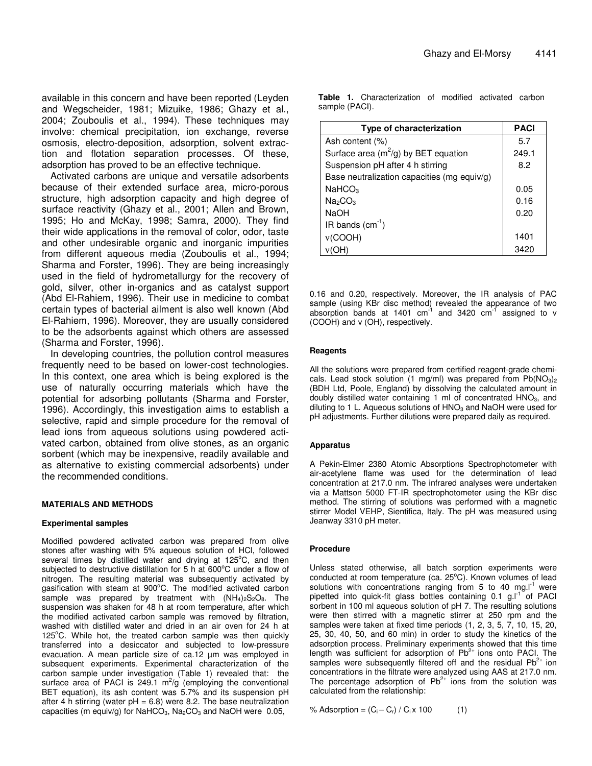available in this concern and have been reported (Leyden and Wegscheider, 1981; Mizuike, 1986; Ghazy et al., 2004; Zouboulis et al., 1994). These techniques may involve: chemical precipitation, ion exchange, reverse osmosis, electro-deposition, adsorption, solvent extraction and flotation separation processes. Of these, adsorption has proved to be an effective technique.

Activated carbons are unique and versatile adsorbents because of their extended surface area, micro-porous structure, high adsorption capacity and high degree of surface reactivity (Ghazy et al., 2001; Allen and Brown, 1995; Ho and McKay, 1998; Samra, 2000). They find their wide applications in the removal of color, odor, taste and other undesirable organic and inorganic impurities from different aqueous media (Zouboulis et al., 1994; Sharma and Forster, 1996). They are being increasingly used in the field of hydrometallurgy for the recovery of gold, silver, other in-organics and as catalyst support (Abd El-Rahiem, 1996). Their use in medicine to combat certain types of bacterial ailment is also well known (Abd El-Rahiem, 1996). Moreover, they are usually considered to be the adsorbents against which others are assessed (Sharma and Forster, 1996).

In developing countries, the pollution control measures frequently need to be based on lower-cost technologies. In this context, one area which is being explored is the use of naturally occurring materials which have the potential for adsorbing pollutants (Sharma and Forster, 1996). Accordingly, this investigation aims to establish a selective, rapid and simple procedure for the removal of lead ions from aqueous solutions using powdered activated carbon, obtained from olive stones, as an organic sorbent (which may be inexpensive, readily available and as alternative to existing commercial adsorbents) under the recommended conditions.

#### **MATERIALS AND METHODS**

#### **Experimental samples**

Modified powdered activated carbon was prepared from olive stones after washing with 5% aqueous solution of HCl, followed several times by distilled water and drying at 125°C, and then subjected to destructive distillation for 5 h at 600°C under a flow of nitrogen. The resulting material was subsequently activated by gasification with steam at 900°C. The modified activated carbon sample was prepared by treatment with  $(NH_4)_2S_2O_8$ . The suspension was shaken for 48 h at room temperature, after which the modified activated carbon sample was removed by filtration, washed with distilled water and dried in an air oven for 24 h at 125°C. While hot, the treated carbon sample was then quickly transferred into a desiccator and subjected to low-pressure evacuation. A mean particle size of ca.12 µm was employed in subsequent experiments. Experimental characterization of the carbon sample under investigation (Table 1) revealed that: the surface area of PACI is 249.1  $m^2/g$  (employing the conventional BET equation), its ash content was 5.7% and its suspension pH after 4 h stirring (water  $pH = 6.8$ ) were 8.2. The base neutralization capacities (m equiv/g) for NaHCO<sub>3</sub>, Na<sub>2</sub>CO<sub>3</sub> and NaOH were 0.05,

**Table 1.** Characterization of modified activated carbon sample (PACI).

| Type of characterization                    | <b>PACI</b> |
|---------------------------------------------|-------------|
| Ash content (%)                             | 5.7         |
| Surface area ( $m^2$ /g) by BET equation    | 249.1       |
| Suspension pH after 4 h stirring            | 8.2         |
| Base neutralization capacities (mg equiv/g) |             |
| NaHCO <sub>3</sub>                          | 0.05        |
| Na <sub>2</sub> CO <sub>3</sub>             | 0.16        |
| <b>NaOH</b>                                 | 0.20        |
| IR bands $(cm-1)$                           |             |
| v(COOH)                                     | 1401        |
|                                             | 3420        |

0.16 and 0.20, respectively. Moreover, the IR analysis of PAC sample (using KBr disc method) revealed the appearance of two absorption bands at 1401  $cm^{-1}$  and 3420  $cm^{-1}$  assigned to v (COOH) and v (OH), respectively.

#### **Reagents**

All the solutions were prepared from certified reagent-grade chemicals. Lead stock solution (1 mg/ml) was prepared from  $Pb(NO<sub>3</sub>)<sub>2</sub>$ (BDH Ltd, Poole, England) by dissolving the calculated amount in doubly distilled water containing 1 ml of concentrated  $HNO<sub>3</sub>$ , and diluting to 1 L. Aqueous solutions of  $HNO<sub>3</sub>$  and NaOH were used for pH adjustments. Further dilutions were prepared daily as required.

#### **Apparatus**

A Pekin-Elmer 2380 Atomic Absorptions Spectrophotometer with air-acetylene flame was used for the determination of lead concentration at 217.0 nm. The infrared analyses were undertaken via a Mattson 5000 FT-IR spectrophotometer using the KBr disc method. The stirring of solutions was performed with a magnetic stirrer Model VEHP, Sientifica, Italy. The pH was measured using Jeanway 3310 pH meter.

#### **Procedure**

Unless stated otherwise, all batch sorption experiments were conducted at room temperature (ca. 25°C). Known volumes of lead solutions with concentrations ranging from 5 to 40 mg.I $<sup>1</sup>$  were</sup> pipetted into quick-fit glass bottles containing 0.1 g.I<sup>-1</sup> of PACI sorbent in 100 ml aqueous solution of pH 7. The resulting solutions were then stirred with a magnetic stirrer at 250 rpm and the samples were taken at fixed time periods (1, 2, 3, 5, 7, 10, 15, 20, 25, 30, 40, 50, and 60 min) in order to study the kinetics of the adsorption process. Preliminary experiments showed that this time length was sufficient for adsorption of  $Pb^{2+}$  ions onto PACI. The samples were subsequently filtered off and the residual  $Pb^{2+}$  ion concentrations in the filtrate were analyzed using AAS at 217.0 nm. The percentage adsorption of  $Pb^{2+}$  ions from the solution was calculated from the relationship:

% Adsorption =  $(C_i - C_r) / C_i \times 100$  (1)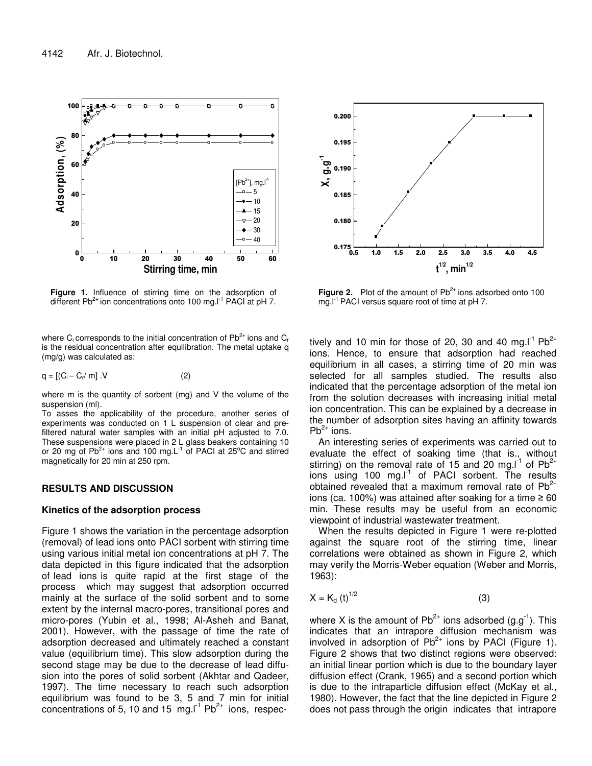

**Figure 1.** Influence of stirring time on the adsorption of different Pb<sup>2+</sup> ion concentrations onto 100 mg.I<sup>-1</sup> PACI at pH 7.

where C<sub>i</sub> corresponds to the initial concentration of Pb<sup>2+</sup> ions and C<sub>r</sub> is the residual concentration after equilibration. The metal uptake q (mg/g) was calculated as:

$$
q = [(C_i - C_r / m] \cdot V \tag{2}
$$

where m is the quantity of sorbent (mg) and V the volume of the suspension (ml).

To asses the applicability of the procedure, another series of experiments was conducted on 1 L suspension of clear and prefiltered natural water samples with an initial pH adjusted to 7.0. These suspensions were placed in 2 L glass beakers containing 10 or 20 mg of Pb<sup>2+</sup> ions and 100 mg.L<sup>-1</sup> of PACI at 25°C and stirred magnetically for 20 min at 250 rpm.

## **RESULTS AND DISCUSSION**

#### **Kinetics of the adsorption process**

Figure 1 shows the variation in the percentage adsorption (removal) of lead ions onto PACI sorbent with stirring time using various initial metal ion concentrations at pH 7. The data depicted in this figure indicated that the adsorption of lead ions is quite rapid at the first stage of the process which may suggest that adsorption occurred mainly at the surface of the solid sorbent and to some extent by the internal macro-pores, transitional pores and micro-pores (Yubin et al., 1998; Al-Asheh and Banat, 2001). However, with the passage of time the rate of adsorption decreased and ultimately reached a constant value (equilibrium time). This slow adsorption during the second stage may be due to the decrease of lead diffusion into the pores of solid sorbent (Akhtar and Qadeer, 1997). The time necessary to reach such adsorption equilibrium was found to be 3, 5 and 7 min for initial concentrations of 5, 10 and 15  $mg.l<sup>1</sup> Pb<sup>2+</sup>$  ions, respec-



Figure 2. Plot of the amount of Pb<sup>2+</sup> ions adsorbed onto 100 mg.I<sup>-1</sup> PACI versus square root of time at pH 7.

tively and 10 min for those of 20, 30 and 40 mg.I<sup>-1</sup> Pb<sup>2+</sup> ions. Hence, to ensure that adsorption had reached equilibrium in all cases, a stirring time of 20 min was selected for all samples studied. The results also indicated that the percentage adsorption of the metal ion from the solution decreases with increasing initial metal ion concentration. This can be explained by a decrease in the number of adsorption sites having an affinity towards  $Pb^{2+}$  ions.

An interesting series of experiments was carried out to evaluate the effect of soaking time (that is., without stirring) on the removal rate of 15 and 20 mg.I<sup>1</sup> of  $Pb^{2+}$ ions using 100 mg.I<sup>1</sup> of PACI sorbent. The results obtained revealed that a maximum removal rate of Pb<sup>2+</sup> ions (ca. 100%) was attained after soaking for a time  $\geq 60$ min. These results may be useful from an economic viewpoint of industrial wastewater treatment.

When the results depicted in Figure 1 were re-plotted against the square root of the stirring time, linear correlations were obtained as shown in Figure 2, which may verify the Morris-Weber equation (Weber and Morris, 1963):

$$
X = K_d \left(t\right)^{1/2} \tag{3}
$$

where X is the amount of Pb<sup>2+</sup> ions adsorbed (g.g<sup>-1</sup>). This indicates that an intrapore diffusion mechanism was involved in adsorption of  $Pb^{2+}$  ions by PACI (Figure 1). Figure 2 shows that two distinct regions were observed: an initial linear portion which is due to the boundary layer diffusion effect (Crank, 1965) and a second portion which is due to the intraparticle diffusion effect (McKay et al., 1980). However, the fact that the line depicted in Figure 2 does not pass through the origin indicates that intrapore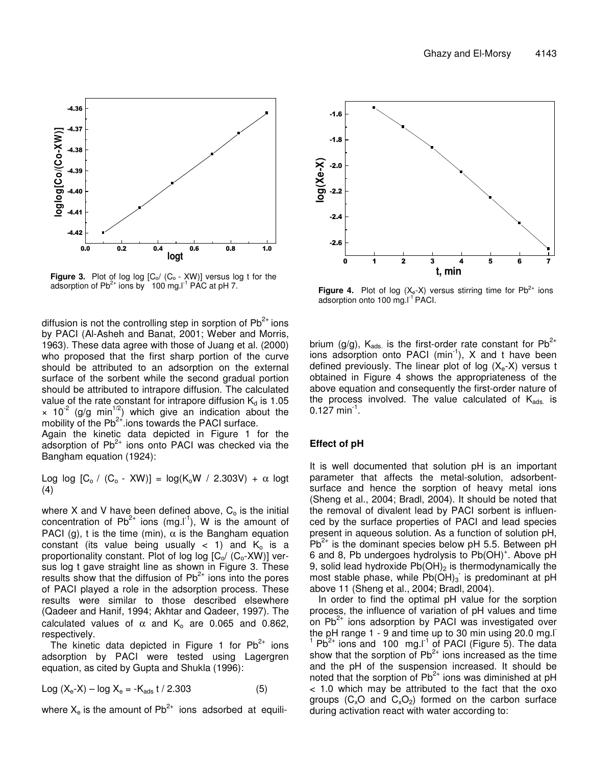

**Figure 3.** Plot of log log [C<sub>o</sub>/ (C<sub>o</sub> - XW)] versus log t for the adsorption of  $Pb^{2+}$  ions by 100 mg.<sup>[-1</sup> PAC at pH 7.

diffusion is not the controlling step in sorption of Pb<sup>2+</sup> ions by PACI (Al-Asheh and Banat, 2001; Weber and Morris, 1963). These data agree with those of Juang et al. (2000) who proposed that the first sharp portion of the curve should be attributed to an adsorption on the external surface of the sorbent while the second gradual portion should be attributed to intrapore diffusion. The calculated value of the rate constant for intrapore diffusion  $K_d$  is 1.05  $\times$  10<sup>-2</sup> (g/g min<sup>1/2</sup>) which give an indication about the mobility of the  $Pb^{2+}$  ions towards the PACI surface.

Again the kinetic data depicted in Figure 1 for the adsorption of Pb<sup>2+</sup> ions onto PACI was checked via the Bangham equation (1924):

Log log  $[C_o / (C_o - XW)] = log(K_oW / 2.303V) + \alpha$  logt (4)

where X and V have been defined above,  $C<sub>o</sub>$  is the initial concentration of Pb<sup>2+</sup> ions (mg.I<sup>-1</sup>), W is the amount of PACI (g), t is the time (min),  $\alpha$  is the Bangham equation constant (its value being usually  $<$  1) and  $K_0$  is a proportionality constant. Plot of log log  $[C_0/(C_0-XW)]$  versus log t gave straight line as shown in Figure 3. These results show that the diffusion of  $Pb^{2+}$  ions into the pores of PACI played a role in the adsorption process. These results were similar to those described elsewhere (Qadeer and Hanif, 1994; Akhtar and Qadeer, 1997). The calculated values of  $\alpha$  and K<sub>o</sub> are 0.065 and 0.862, respectively.

The kinetic data depicted in Figure 1 for  $Pb^{2+}$  ions adsorption by PACI were tested using Lagergren equation, as cited by Gupta and Shukla (1996):

$$
Log (X_e - X) - log X_e = -K_{ads} t / 2.303
$$
 (5)

where  $X_e$  is the amount of Pb<sup>2+</sup> ions adsorbed at equili-



**Figure 4.** Plot of log  $(X_e-X)$  versus stirring time for  $Pb^{2+}$  ions adsorption onto 100 mg.I<sup>-1</sup> PACI.

brium (g/g),  $K_{ads.}$  is the first-order rate constant for Pb<sup>2+</sup> ions adsorption onto PACI (min<sup>-1</sup>), X and t have been defined previously. The linear plot of log  $(X_e-X)$  versus t obtained in Figure 4 shows the appropriateness of the above equation and consequently the first-order nature of the process involved. The value calculated of K<sub>ads.</sub> is  $0.127 \text{ min}^{-1}$ .

#### **Effect of pH**

It is well documented that solution pH is an important parameter that affects the metal-solution, adsorbentsurface and hence the sorption of heavy metal ions (Sheng et al., 2004; Bradl, 2004). It should be noted that the removal of divalent lead by PACI sorbent is influenced by the surface properties of PACI and lead species present in aqueous solution. As a function of solution pH,  $Pb^{2+}$  is the dominant species below pH 5.5. Between pH 6 and 8, Pb undergoes hydrolysis to Pb(OH)<sup>+</sup>. Above pH 9, solid lead hydroxide  $Pb(OH)_2$  is thermodynamically the most stable phase, while  $Pb(OH)_3$  is predominant at pH above 11 (Sheng et al., 2004; Bradl, 2004).

In order to find the optimal pH value for the sorption process, the influence of variation of pH values and time on  $\mathsf{Pb}^{2+}$  ions adsorption by PACI was investigated over the pH range 1 - 9 and time up to 30 min using 20.0 mg.l  $1$  Pb<sup>2+</sup> ions and 100 mg.I<sup>1</sup> of PACI (Figure 5). The data show that the sorption of  $Pb^{2+}$  ions increased as the time and the pH of the suspension increased. It should be noted that the sorption of  $Pb^{2+}$  ions was diminished at pH < 1.0 which may be attributed to the fact that the oxo groups ( $C_x$ O and  $C_xO_2$ ) formed on the carbon surface during activation react with water according to: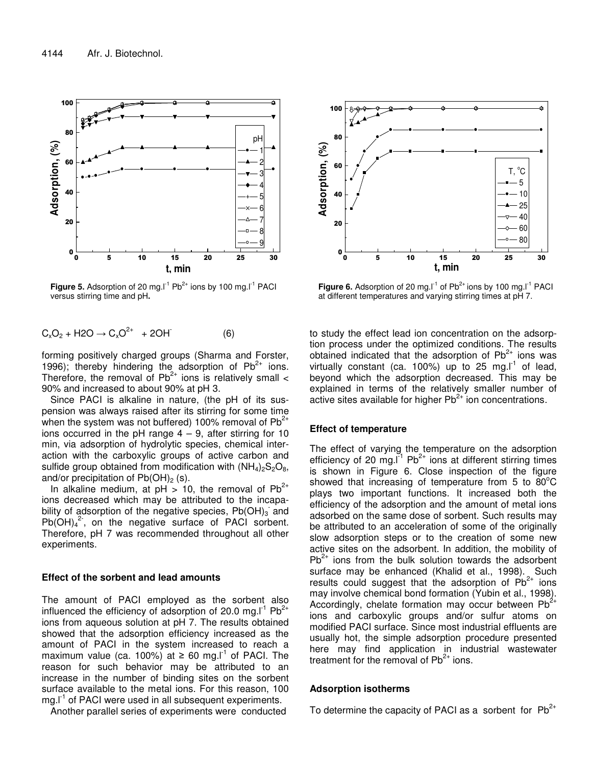

**Figure 5.** Adsorption of 20 mg.I<sup>-1</sup> Pb<sup>2+</sup> ions by 100 mg.I<sup>-1</sup> PACI versus stirring time and pH**.**

$$
C_xO_2 + H2O \to C_xO^{2+} + 2OH \tag{6}
$$

forming positively charged groups (Sharma and Forster, 1996); thereby hindering the adsorption of  $Pb^{2+}$  ions. Therefore, the removal of  $Pb^{2+}$  ions is relatively small  $\leq$ 90% and increased to about 90% at pH 3.

Since PACI is alkaline in nature, (the pH of its suspension was always raised after its stirring for some time when the system was not buffered) 100% removal of Pb<sup>2+</sup> ions occurred in the pH range  $4 - 9$ , after stirring for 10 min, via adsorption of hydrolytic species, chemical interaction with the carboxylic groups of active carbon and sulfide group obtained from modification with  $(NH_4)_2S_2O_8$ , and/or precipitation of  $Pb(OH)<sub>2</sub>$  (s).

In alkaline medium, at  $pH > 10$ , the removal of Pb<sup>2+</sup> ions decreased which may be attributed to the incapability of adsorption of the negative species,  $Pb(OH)_3$  and  $Pb(OH)<sub>4</sub><sup>2</sup>$ , on the negative surface of PACI sorbent. Therefore, pH 7 was recommended throughout all other experiments.

### **Effect of the sorbent and lead amounts**

The amount of PACI employed as the sorbent also influenced the efficiency of adsorption of 20.0 mg.I<sup>-1</sup> Pb<sup>2+</sup> ions from aqueous solution at pH 7. The results obtained showed that the adsorption efficiency increased as the amount of PACI in the system increased to reach a maximum value (ca. 100%) at  $\geq 60$  mg.I<sup>-1</sup> of PACI. The reason for such behavior may be attributed to an increase in the number of binding sites on the sorbent surface available to the metal ions. For this reason, 100 mg.I<sup>-1</sup> of PACI were used in all subsequent experiments.

Another parallel series of experiments were conducted



**Figure 6.** Adsorption of 20 mg.I<sup>-1</sup> of Pb<sup>2+</sup> ions by 100 mg.I<sup>-1</sup> PACI at different temperatures and varying stirring times at pH 7.

to study the effect lead ion concentration on the adsorption process under the optimized conditions. The results obtained indicated that the adsorption of  $Pb^{2+}$  ions was virtually constant (ca. 100%) up to 25 mg.I $1$  of lead, beyond which the adsorption decreased. This may be explained in terms of the relatively smaller number of active sites available for higher Pb<sup>2+</sup> ion concentrations.

#### **Effect of temperature**

The effect of varying the temperature on the adsorption efficiency of 20 mg. $I<sup>1</sup>$  Pb<sup>2+</sup> ions at different stirring times is shown in Figure 6. Close inspection of the figure showed that increasing of temperature from 5 to  $80^{\circ}$ C plays two important functions. It increased both the efficiency of the adsorption and the amount of metal ions adsorbed on the same dose of sorbent. Such results may be attributed to an acceleration of some of the originally slow adsorption steps or to the creation of some new active sites on the adsorbent. In addition, the mobility of  $Pb^{2+}$  ions from the bulk solution towards the adsorbent surface may be enhanced (Khalid et al., 1998). Such results could suggest that the adsorption of  $Pb^{2+}$  ions may involve chemical bond formation (Yubin et al., 1998). Accordingly, chelate formation may occur between Pb<sup>2+</sup> ions and carboxylic groups and/or sulfur atoms on modified PACI surface. Since most industrial effluents are usually hot, the simple adsorption procedure presented here may find application in industrial wastewater treatment for the removal of  $Pb^{2+}$  ions.

#### **Adsorption isotherms**

To determine the capacity of PACI as a sorbent for  $Pb^{2+}$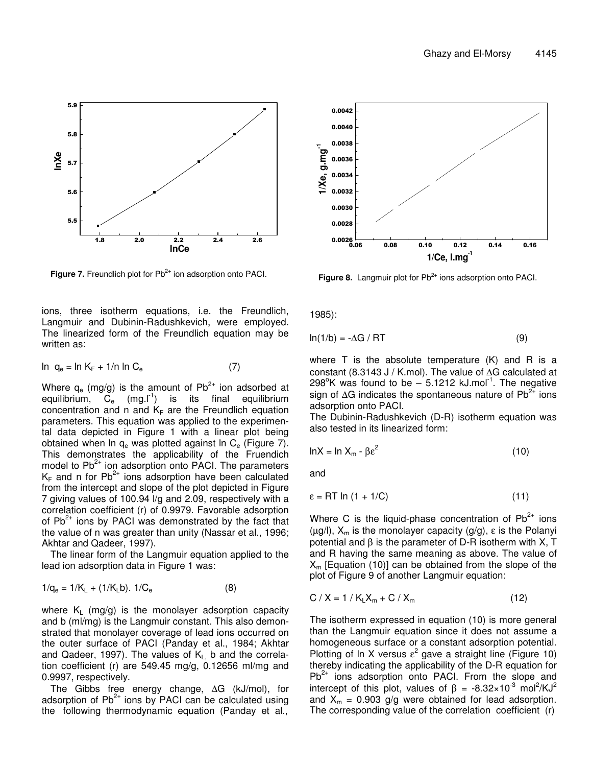

Figure 7. Freundlich plot for Pb<sup>2+</sup> ion adsorption onto PACI.

ions, three isotherm equations, i.e. the Freundlich, Langmuir and Dubinin-Radushkevich, were employed. The linearized form of the Freundlich equation may be written as:

$$
\ln q_e = \ln K_F + 1/n \ln C_e \tag{7}
$$

Where  $q_e$  (mg/g) is the amount of Pb<sup>2+</sup> ion adsorbed at equilibrium,  $C_e$  (mg.  $I^1$ ) is its final equilibrium concentration and n and  $K_F$  are the Freundlich equation parameters. This equation was applied to the experimental data depicted in Figure 1 with a linear plot being obtained when In  $q_e$  was plotted against In  $C_e$  (Figure 7). This demonstrates the applicability of the Fruendich model to Pb<sup>2+</sup> ion adsorption onto PACI. The parameters  $\mathsf{K}_{\mathsf{F}}$  and n for Pb<sup>2+</sup> ions adsorption have been calculated from the intercept and slope of the plot depicted in Figure 7 giving values of 100.94 l/g and 2.09, respectively with a correlation coefficient (r) of 0.9979. Favorable adsorption of Pb<sup>2+</sup> ions by PACI was demonstrated by the fact that the value of n was greater than unity (Nassar et al., 1996; Akhtar and Qadeer, 1997).

The linear form of the Langmuir equation applied to the lead ion adsorption data in Figure 1 was:

$$
1/q_e = 1/K_L + (1/K_Lb). \ 1/C_e \tag{8}
$$

where  $K_1$  (mg/g) is the monolayer adsorption capacity and b (ml/mg) is the Langmuir constant. This also demonstrated that monolayer coverage of lead ions occurred on the outer surface of PACI (Panday et al., 1984; Akhtar and Qadeer, 1997). The values of  $K_L$  b and the correlation coefficient (r) are 549.45 mg/g, 0.12656 ml/mg and 0.9997, respectively.

The Gibbs free energy change, ∆G (kJ/mol), for adsorption of  $Pb^{2+}$  ions by PACI can be calculated using the following thermodynamic equation (Panday et al.,



Figure 8. Langmuir plot for Pb<sup>2+</sup> ions adsorption onto PACI.

1985):

$$
\ln(1/b) = -\Delta G / RT \tag{9}
$$

where T is the absolute temperature (K) and R is a constant (8.3143 J / K.mol). The value of ∆G calculated at 298°K was found to be  $-$  5.1212 kJ.mol<sup>-1</sup>. The negative sign of ∆G indicates the spontaneous nature of Pb<sup>2+</sup> ions adsorption onto PACI.

The Dubinin-Radushkevich (D-R) isotherm equation was also tested in its linearized form:

$$
lnX = ln X_m - \beta \epsilon^2
$$
 (10)

and

$$
\varepsilon = RT \ln \left( 1 + 1/C \right) \tag{11}
$$

Where C is the liquid-phase concentration of  $Pb^{2+}$  ions ( $\mu$ g/l),  $X_m$  is the monolayer capacity (g/g),  $\varepsilon$  is the Polanyi potential and  $β$  is the parameter of D-R isotherm with X, T and R having the same meaning as above. The value of  $X<sub>m</sub>$  [Equation (10)] can be obtained from the slope of the plot of Figure 9 of another Langmuir equation:

$$
C / X = 1 / KLXm + C / Xm
$$
 (12)

The isotherm expressed in equation (10) is more general than the Langmuir equation since it does not assume a homogeneous surface or a constant adsorption potential. Plotting of In X versus  $\varepsilon^2$  gave a straight line (Figure 10) thereby indicating the applicability of the D-R equation for  $Pb^{2+}$  ions adsorption onto PACI. From the slope and intercept of this plot, values of  $\beta = -8.32 \times 10^{-3}$  mol<sup>2</sup>/KJ<sup>2</sup> and  $X_m = 0.903$  g/g were obtained for lead adsorption. The corresponding value of the correlation coefficient (r)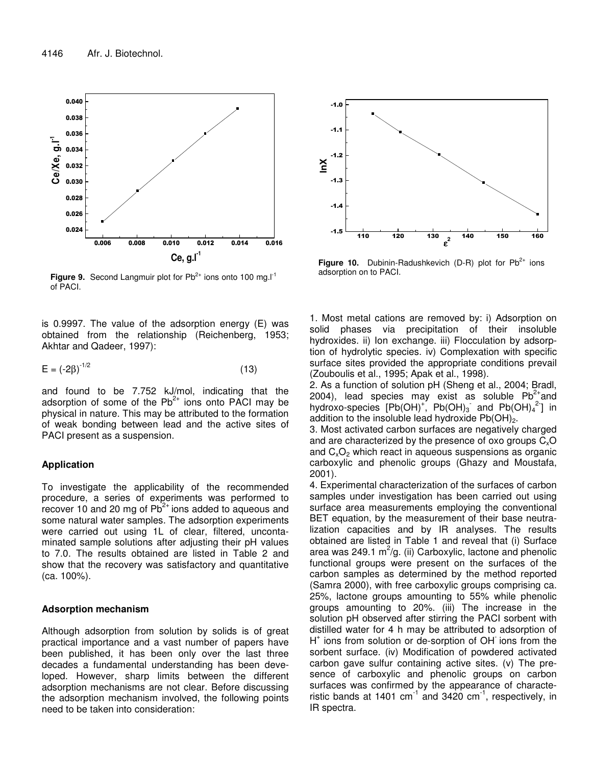

**Figure 9.** Second Langmuir plot for Pb<sup>2+</sup> ions onto 100 mg.I<sup>-1</sup> of PACI.

is 0.997. The value of the adsorption energy (E) was obtained from the relationship (Reichenberg, 1953; Akhtar and Qadeer, 1997):

$$
E = (-2\beta)^{-1/2} \tag{13}
$$

and found to be 7.752 kJ/mol, indicating that the adsorption of some of the  $Pb^{2+}$  ions onto PACI may be physical in nature. This may be attributed to the formation of weak bonding between lead and the active sites of PACI present as a suspension.

# **Application**

To investigate the applicability of the recommended procedure, a series of experiments was performed to recover 10 and 20 mg of  $Pb^{2+}$  ions added to aqueous and some natural water samples. The adsorption experiments were carried out using 1L of clear, filtered, uncontaminated sample solutions after adjusting their pH values to 7.0. The results obtained are listed in Table 2 and show that the recovery was satisfactory and quantitative (ca. 100%).

# **Adsorption mechanism**

Although adsorption from solution by solids is of great practical importance and a vast number of papers have been published, it has been only over the last three decades a fundamental understanding has been developed. However, sharp limits between the different adsorption mechanisms are not clear. Before discussing the adsorption mechanism involved, the following points need to be taken into consideration:



Figure 10. Dubinin-Radushkevich (D-R) plot for Pb<sup>2+</sup> ions adsorption on to PACI.

1. Most metal cations are removed by: i) Adsorption on solid phases via precipitation of their insoluble hydroxides. ii) Ion exchange. iii) Flocculation by adsorption of hydrolytic species. iv) Complexation with specific surface sites provided the appropriate conditions prevail (Zouboulis et al., 1995; Apak et al., 1998).

2. As a function of solution pH (Sheng et al., 2004; Bradl, 2004), lead species may exist as soluble  $Pb^{2+}$ and hydroxo-species [Pb(OH)<sup>+</sup>, Pb(OH)<sub>3</sub> and Pb(OH)<sub>4</sub><sup>2</sup>] in addition to the insoluble lead hydroxide  $Pb(OH)<sub>2</sub>$ .

3. Most activated carbon surfaces are negatively charged and are characterized by the presence of oxo groups  $C_xO$ and  $C_xO_2$  which react in aqueous suspensions as organic carboxylic and phenolic groups (Ghazy and Moustafa, 2001).

4. Experimental characterization of the surfaces of carbon samples under investigation has been carried out using surface area measurements employing the conventional BET equation, by the measurement of their base neutralization capacities and by IR analyses. The results obtained are listed in Table 1 and reveal that (i) Surface area was 249.1 m<sup>2</sup>/g. (ii) Carboxylic, lactone and phenolic functional groups were present on the surfaces of the carbon samples as determined by the method reported (Samra 2000), with free carboxylic groups comprising ca. 25%, lactone groups amounting to 55% while phenolic groups amounting to 20%. (iii) The increase in the solution pH observed after stirring the PACI sorbent with distilled water for 4 h may be attributed to adsorption of H<sup>+</sup> ions from solution or de-sorption of OH ions from the sorbent surface. (iv) Modification of powdered activated carbon gave sulfur containing active sites. (v) The presence of carboxylic and phenolic groups on carbon surfaces was confirmed by the appearance of characteristic bands at 1401 cm $^{-1}$  and 3420 cm $^{-1}$ , respectively, in IR spectra.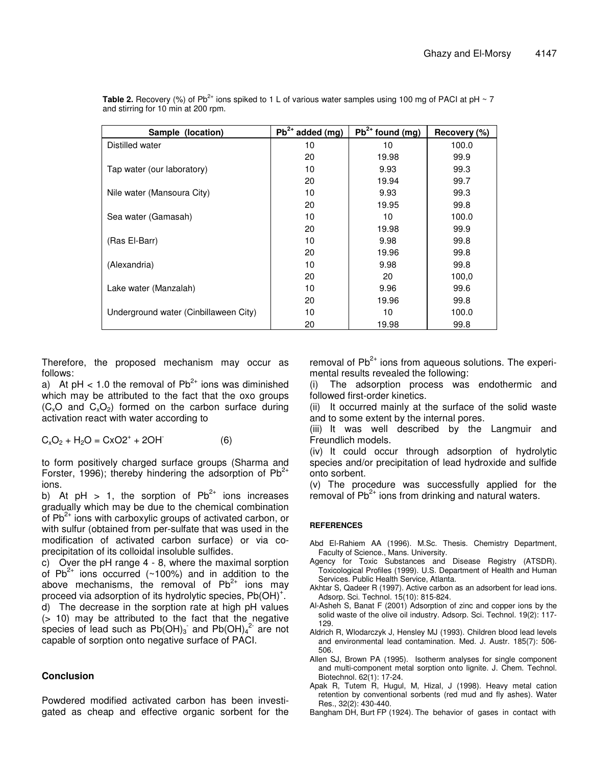| Sample (location)                     | $Pb^{2+}$ added (mg) | $Pb^{2+}$ found (mg) | Recovery (%) |
|---------------------------------------|----------------------|----------------------|--------------|
| Distilled water                       | 10                   | 10                   | 100.0        |
|                                       | 20                   | 19.98                | 99.9         |
| Tap water (our laboratory)            | 10                   | 9.93                 | 99.3         |
|                                       | 20                   | 19.94                | 99.7         |
| Nile water (Mansoura City)            | 10                   | 9.93                 | 99.3         |
|                                       | 20                   | 19.95                | 99.8         |
| Sea water (Gamasah)                   | 10                   | 10                   | 100.0        |
|                                       | 20                   | 19.98                | 99.9         |
| (Ras El-Barr)                         | 10                   | 9.98                 | 99.8         |
|                                       | 20                   | 19.96                | 99.8         |
| (Alexandria)                          | 10                   | 9.98                 | 99.8         |
|                                       | 20                   | 20                   | 100,0        |
| Lake water (Manzalah)                 | 10                   | 9.96                 | 99.6         |
|                                       | 20                   | 19.96                | 99.8         |
| Underground water (Cinbillaween City) | 10                   | 10                   | 100.0        |
|                                       | 20                   | 19.98                | 99.8         |

Table 2. Recovery (%) of Pb<sup>2+</sup> ions spiked to 1 L of various water samples using 100 mg of PACI at pH ~ 7 and stirring for 10 min at 200 rpm.

Therefore, the proposed mechanism may occur as follows:

a) At pH  $<$  1.0 the removal of Pb<sup>2+</sup> ions was diminished which may be attributed to the fact that the oxo groups  $(C_xO$  and  $C_xO_2$ ) formed on the carbon surface during activation react with water according to

 $C_xO_2 + H_2O = CXO2^+ + 2OH$ (6)

to form positively charged surface groups (Sharma and Forster, 1996); thereby hindering the adsorption of  $Pb^{2+}$ ions.

b) At pH > 1, the sorption of  $Pb^{2+}$  ions increases gradually which may be due to the chemical combination of  $Pb^{2+}$  ions with carboxylic groups of activated carbon, or with sulfur (obtained from per-sulfate that was used in the modification of activated carbon surface) or via coprecipitation of its colloidal insoluble sulfides.

c) Over the pH range 4 - 8, where the maximal sorption of Pb<sup>2+</sup> ions occurred (~100%) and in addition to the above mechanisms, the removal of  $Pb^{2+}$  ions may proceed via adsorption of its hydrolytic species,  $\mathsf{Pb}(\mathsf{OH})^{+}$ . d) The decrease in the sorption rate at high pH values (> 10) may be attributed to the fact that the negative species of lead such as  $Pb(OH)_3$  and  $Pb(OH)_4{}^2$  are not capable of sorption onto negative surface of PACI.

# **Conclusion**

Powdered modified activated carbon has been investigated as cheap and effective organic sorbent for the

removal of Pb<sup>2+</sup> ions from aqueous solutions. The experimental results revealed the following:

(i) The adsorption process was endothermic and followed first-order kinetics.

(ii) It occurred mainly at the surface of the solid waste and to some extent by the internal pores.

(iii) It was well described by the Langmuir and Freundlich models.

(iv) It could occur through adsorption of hydrolytic species and/or precipitation of lead hydroxide and sulfide onto sorbent.

(v) The procedure was successfully applied for the removal of Pb<sup>2+</sup> ions from drinking and natural waters.

# **REFERENCES**

- Abd El-Rahiem AA (1996). M.Sc. Thesis. Chemistry Department, Faculty of Science., Mans. University.
- Agency for Toxic Substances and Disease Registry (ATSDR). Toxicological Profiles (1999). U.S. Department of Health and Human Services. Public Health Service, Atlanta.
- Akhtar S, Qadeer R (1997). Active carbon as an adsorbent for lead ions. Adsorp. Sci. Technol. 15(10): 815-824.
- Al-Asheh S, Banat F (2001) Adsorption of zinc and copper ions by the solid waste of the olive oil industry. Adsorp. Sci. Technol. 19(2): 117- 129.
- Aldrich R, Wlodarczyk J, Hensley MJ (1993). Children blood lead levels and environmental lead contamination. Med. J. Austr. 185(7): 506- 506.
- Allen SJ, Brown PA (1995). Isotherm analyses for single component and multi-component metal sorption onto lignite. J. Chem. Technol. Biotechnol. 62(1): 17-24.
- Apak R, Tutem R, Hugul, M, Hizal, J (1998). Heavy metal cation retention by conventional sorbents (red mud and fly ashes). Water Res., 32(2): 430-440.

Bangham DH, Burt FP (1924). The behavior of gases in contact with